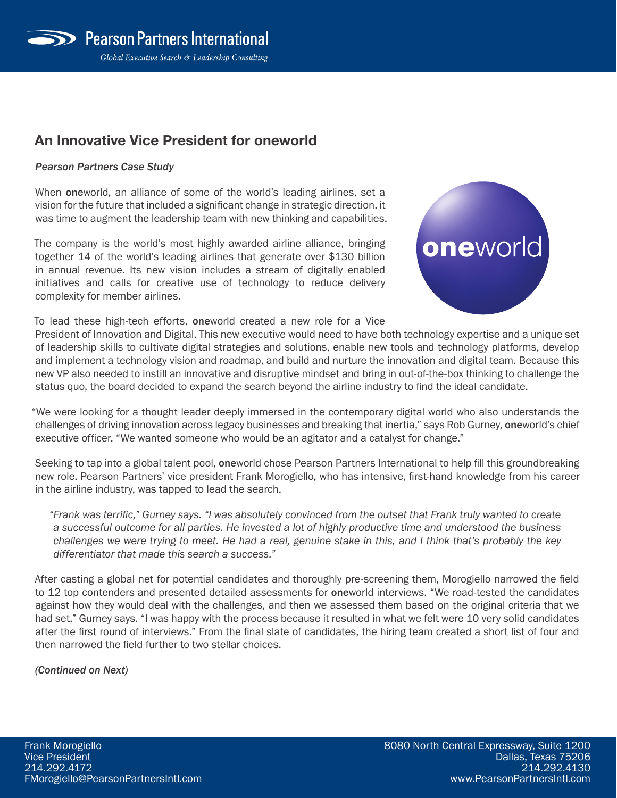## **An Innovative Vice President for oneworld**

## *Pearson Partners Case Study*

When **one**world, an alliance of some of the world's leading airlines, set a vision for the future that included a significant change in strategic direction, it was time to augment the leadership team with new thinking and capabilities.

The company is the world's most highly awarded airline alliance, bringing together 14 of the world's leading airlines that generate over \$130 billion in annual revenue. Its new vision includes a stream of digitally enabled initiatives and calls for creative use of technology to reduce delivery complexity for member airlines.

To lead these high-tech efforts, oneworld created a new role for a Vice



President of Innovation and Digital. This new executive would need to have both technology expertise and a unique set of leadership skills to cultivate digital strategies and solutions, enable new tools and technology platforms, develop and implement a technology vision and roadmap, and build and nurture the innovation and digital team. Because this new VP also needed to instill an innovative and disruptive mindset and bring in out-of-the-box thinking to challenge the status quo, the board decided to expand the search beyond the airline industry to find the ideal candidate.

"We were looking for a thought leader deeply immersed in the contemporary digital world who also understands the challenges of driving innovation across legacy businesses and breaking that inertia," says Rob Gurney, oneworld's chief executive officer. "We wanted someone who would be an agitator and a catalyst for change."

Seeking to tap into a global talent pool, oneworld chose Pearson Partners International to help fill this groundbreaking new role. Pearson Partners' vice president Frank Morogiello, who has intensive, first-hand knowledge from his career in the airline industry, was tapped to lead the search.

*"Frank was terrific," Gurney says. "I was absolutely convinced from the outset that Frank truly wanted to create a successful outcome for all parties. He invested a lot of highly productive time and understood the business challenges we were trying to meet. He had a real, genuine stake in this, and I think that's probably the key differentiator that made this search a success."*

After casting a global net for potential candidates and thoroughly pre-screening them, Morogiello narrowed the field to 12 top contenders and presented detailed assessments for oneworld interviews. "We road-tested the candidates against how they would deal with the challenges, and then we assessed them based on the original criteria that we had set," Gurney says. "I was happy with the process because it resulted in what we felt were 10 very solid candidates after the first round of interviews." From the final slate of candidates, the hiring team created a short list of four and then narrowed the field further to two stellar choices.

*(Continued on Next)*